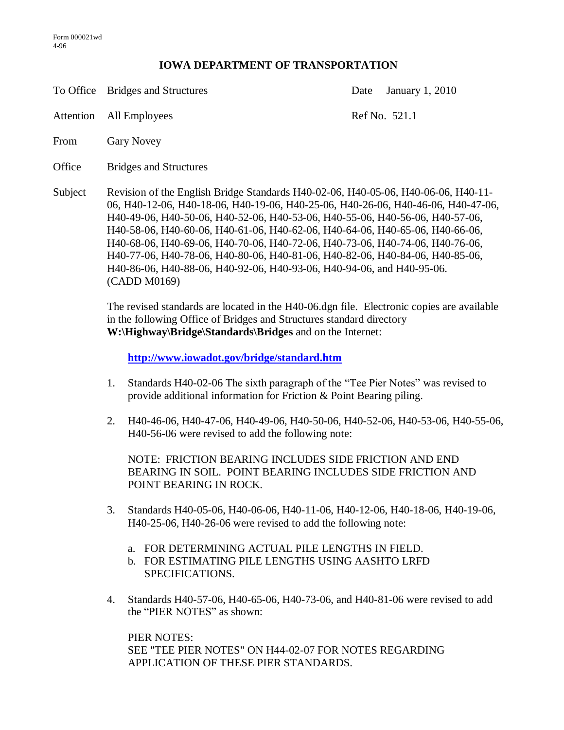## **IOWA DEPARTMENT OF TRANSPORTATION**

To Office Bridges and Structures Date January 1, 2010

Attention All Employees Ref No. 521.1

- From Gary Novey
- Office Bridges and Structures
- Subject Revision of the English Bridge Standards H40-02-06, H40-05-06, H40-06-06, H40-11- 06, H40-12-06, H40-18-06, H40-19-06, H40-25-06, H40-26-06, H40-46-06, H40-47-06, H40-49-06, H40-50-06, H40-52-06, H40-53-06, H40-55-06, H40-56-06, H40-57-06, H40-58-06, H40-60-06, H40-61-06, H40-62-06, H40-64-06, H40-65-06, H40-66-06, H40-68-06, H40-69-06, H40-70-06, H40-72-06, H40-73-06, H40-74-06, H40-76-06, H40-77-06, H40-78-06, H40-80-06, H40-81-06, H40-82-06, H40-84-06, H40-85-06, H40-86-06, H40-88-06, H40-92-06, H40-93-06, H40-94-06, and H40-95-06. (CADD M0169)

The revised standards are located in the H40-06.dgn file. Electronic copies are available in the following Office of Bridges and Structures standard directory **W:\Highway\Bridge\Standards\Bridges** and on the Internet:

**<http://www.iowadot.gov/bridge/standard.htm>**

- 1. Standards H40-02-06 The sixth paragraph of the "Tee Pier Notes" was revised to provide additional information for Friction & Point Bearing piling.
- 2. H40-46-06, H40-47-06, H40-49-06, H40-50-06, H40-52-06, H40-53-06, H40-55-06, H40-56-06 were revised to add the following note:

NOTE: FRICTION BEARING INCLUDES SIDE FRICTION AND END BEARING IN SOIL. POINT BEARING INCLUDES SIDE FRICTION AND POINT BEARING IN ROCK.

- 3. Standards H40-05-06, H40-06-06, H40-11-06, H40-12-06, H40-18-06, H40-19-06, H40-25-06, H40-26-06 were revised to add the following note:
	- a. FOR DETERMINING ACTUAL PILE LENGTHS IN FIELD.
	- b. FOR ESTIMATING PILE LENGTHS USING AASHTO LRFD SPECIFICATIONS.
- 4. Standards H40-57-06, H40-65-06, H40-73-06, and H40-81-06 were revised to add the "PIER NOTES" as shown:

PIER NOTES: SEE "TEE PIER NOTES" ON H44-02-07 FOR NOTES REGARDING APPLICATION OF THESE PIER STANDARDS.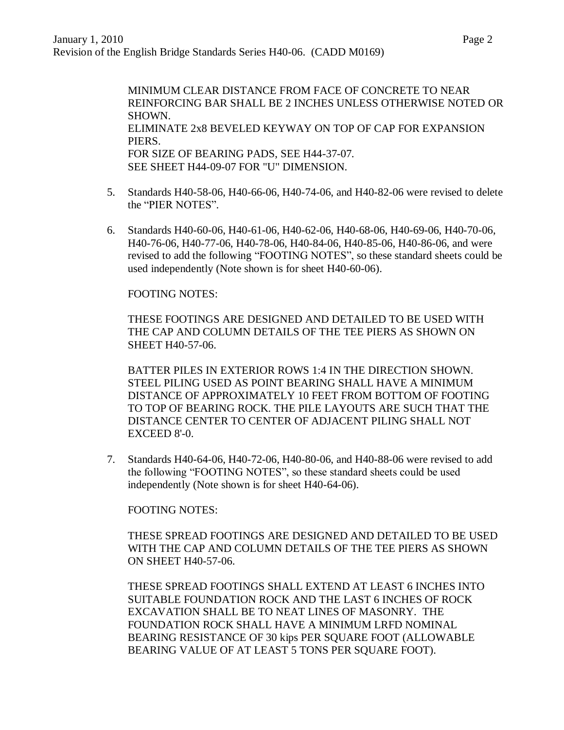MINIMUM CLEAR DISTANCE FROM FACE OF CONCRETE TO NEAR REINFORCING BAR SHALL BE 2 INCHES UNLESS OTHERWISE NOTED OR SHOWN. ELIMINATE 2x8 BEVELED KEYWAY ON TOP OF CAP FOR EXPANSION PIERS. FOR SIZE OF BEARING PADS, SEE H44-37-07. SEE SHEET H44-09-07 FOR "U" DIMENSION.

- 5. Standards H40-58-06, H40-66-06, H40-74-06, and H40-82-06 were revised to delete the "PIER NOTES".
- 6. Standards H40-60-06, H40-61-06, H40-62-06, H40-68-06, H40-69-06, H40-70-06, H40-76-06, H40-77-06, H40-78-06, H40-84-06, H40-85-06, H40-86-06, and were revised to add the following "FOOTING NOTES", so these standard sheets could be used independently (Note shown is for sheet H40-60-06).

## FOOTING NOTES:

THESE FOOTINGS ARE DESIGNED AND DETAILED TO BE USED WITH THE CAP AND COLUMN DETAILS OF THE TEE PIERS AS SHOWN ON SHEET H40-57-06.

BATTER PILES IN EXTERIOR ROWS 1:4 IN THE DIRECTION SHOWN. STEEL PILING USED AS POINT BEARING SHALL HAVE A MINIMUM DISTANCE OF APPROXIMATELY 10 FEET FROM BOTTOM OF FOOTING TO TOP OF BEARING ROCK. THE PILE LAYOUTS ARE SUCH THAT THE DISTANCE CENTER TO CENTER OF ADJACENT PILING SHALL NOT EXCEED 8'-0.

7. Standards H40-64-06, H40-72-06, H40-80-06, and H40-88-06 were revised to add the following "FOOTING NOTES", so these standard sheets could be used independently (Note shown is for sheet H40-64-06).

## FOOTING NOTES:

THESE SPREAD FOOTINGS ARE DESIGNED AND DETAILED TO BE USED WITH THE CAP AND COLUMN DETAILS OF THE TEE PIERS AS SHOWN ON SHEET H40-57-06.

THESE SPREAD FOOTINGS SHALL EXTEND AT LEAST 6 INCHES INTO SUITABLE FOUNDATION ROCK AND THE LAST 6 INCHES OF ROCK EXCAVATION SHALL BE TO NEAT LINES OF MASONRY. THE FOUNDATION ROCK SHALL HAVE A MINIMUM LRFD NOMINAL BEARING RESISTANCE OF 30 kips PER SQUARE FOOT (ALLOWABLE BEARING VALUE OF AT LEAST 5 TONS PER SQUARE FOOT).